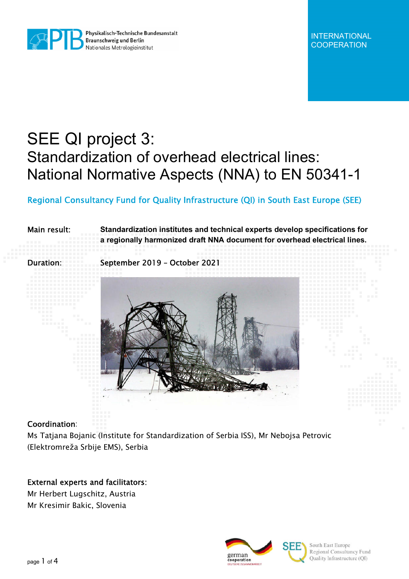

Physikalisch-Technische Bundesanstalt Physikalisch-Technische E<br>Braunschweig und Berlin Nationales Metrologieinstitut

# SEE QI project 3: Standardization of overhead electrical lines: National Normative Aspects (NNA) to EN 50341-1

# Regional Consultancy Fund for Quality Infrastructure (QI) in South East Europe (SEE)

#### Main result: **Standardization institutes and technical experts develop specifications for a regionally harmonized draft NNA document for overhead electrical lines.**

Duration: September 2019 – October 2021



#### Coordination:

Ms Tatjana Bojanic (Institute for Standardization of Serbia ISS), Mr Nebojsa Petrovic (Elektromreža Srbije EMS), Serbia

## External experts and facilitators:

Mr Herbert Lugschitz, Austria Mr Kresimir Bakic, Slovenia



South East Europe Regional Consultancy Fund Quality Infrastructure (QI)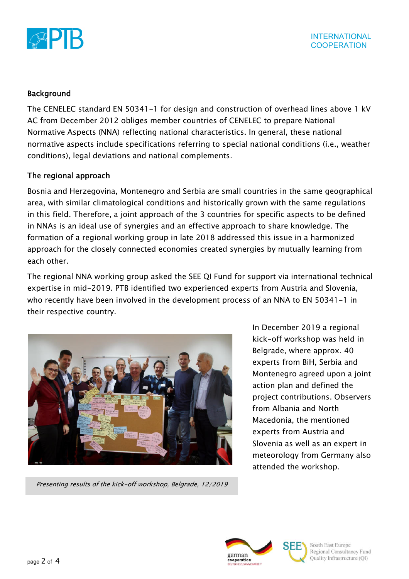

### Background

The CENELEC standard EN 50341-1 for design and construction of overhead lines above 1 kV AC from December 2012 obliges member countries of CENELEC to prepare National Normative Aspects (NNA) reflecting national characteristics. In general, these national normative aspects include specifications referring to special national conditions (i.e., weather conditions), legal deviations and national complements.

#### The regional approach

Bosnia and Herzegovina, Montenegro and Serbia are small countries in the same geographical area, with similar climatological conditions and historically grown with the same regulations in this field. Therefore, a joint approach of the 3 countries for specific aspects to be defined in NNAs is an ideal use of synergies and an effective approach to share knowledge. The formation of a regional working group in late 2018 addressed this issue in a harmonized approach for the closely connected economies created synergies by mutually learning from each other.

The regional NNA working group asked the SEE QI Fund for support via international technical expertise in mid-2019. PTB identified two experienced experts from Austria and Slovenia, who recently have been involved in the development process of an NNA to EN 50341-1 in their respective country.



Presenting results of the kick-off workshop, Belgrade, 12/2019

In December 2019 a regional kick-off workshop was held in Belgrade, where approx. 40 experts from BiH, Serbia and Montenegro agreed upon a joint action plan and defined the project contributions. Observers from Albania and North Macedonia, the mentioned experts from Austria and Slovenia as well as an expert in meteorology from Germany also attended the workshop.



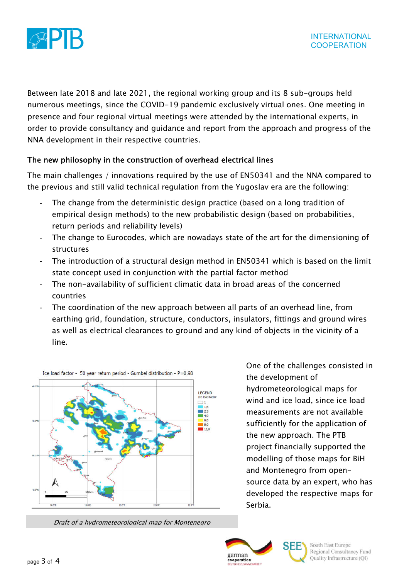

Between late 2018 and late 2021, the regional working group and its 8 sub-groups held numerous meetings, since the COVID-19 pandemic exclusively virtual ones. One meeting in presence and four regional virtual meetings were attended by the international experts, in order to provide consultancy and guidance and report from the approach and progress of the NNA development in their respective countries.

# The new philosophy in the construction of overhead electrical lines

The main challenges / innovations required by the use of EN50341 and the NNA compared to the previous and still valid technical regulation from the Yugoslav era are the following:

- The change from the deterministic design practice (based on a long tradition of empirical design methods) to the new probabilistic design (based on probabilities, return periods and reliability levels)
- The change to Eurocodes, which are nowadays state of the art for the dimensioning of structures
- The introduction of a structural design method in EN50341 which is based on the limit state concept used in conjunction with the partial factor method
- The non-availability of sufficient climatic data in broad areas of the concerned countries
- The coordination of the new approach between all parts of an overhead line, from earthing grid, foundation, structure, conductors, insulators, fittings and ground wires as well as electrical clearances to ground and any kind of objects in the vicinity of a line.



Draft of a hydrometeorological map for Montenegro

One of the challenges consisted in the development of hydrometeorological maps for wind and ice load, since ice load measurements are not available sufficiently for the application of the new approach. The PTB project financially supported the modelling of those maps for BiH and Montenegro from opensource data by an expert, who has developed the respective maps for Serbia.